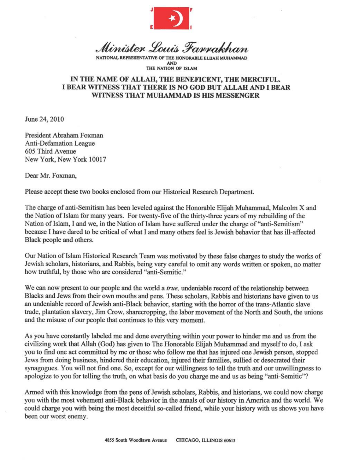

Minister Louis Farrakhan

NATIONAL REPRESENTATIVE OF THE HONORABLE ELIJAH MUHAMMAD AND THE NATION OF ISLAM

## IN THE NAME OF ALLAH, THE BENEFICENT, THE MERCIFUL. I BEAR WITNESS THAT THERE IS NO GOD BUT ALLAH AND I BEAR WITNESS THAT MUHAMMAD IS HIS MESSENGER

June 24, 2010

President Abraham Foxman Anti-Defamation League 605 Third Avenue New York, New York 10017

Dear Mr. Foxman,

Please accept these two books enclosed from our Historical Research Department.

The charge of anti-Semitism has been leveled against the Honorable Elijah Muhammad, Malcolm X and the Nation of Islam for many years. For twenty-five of the thirty-three years of my rebuilding of the Nation of Islam, I and we, in the Nation of Islam have suffered under the charge of "anti-Semitism" because I have dared to be critical of what I and many others feel is Jewish behavior that has ill-affected Black people and others.

Our Nation of Islam Historical Research Tearn was motivated by these false charges to study the works of Jewish scholars, historians, and Rabbis, being very careful to omit any words written or spoken, no matter how truthful, by those who are considered "anti-Semitic."

We can now present to our people and the world a *true,* undeniable record of the relationship between Blacks and Jews from their own mouths and pens. These scholars., Rabbis and historians have given to us an undeniable record of Jewish anti-Black behavior, starting with the horror of the trans-Atlantic slave trade, plantation slavery, Jim Crow, sharecropping, the labor movement of the North and South, the unions and the misuse of our people that continues to this very moment.

As you have constantly labeled me and done everything within your power to hinder me and us from the civilizing work that Allah (God) has given to The Honorable Elijah Muhammad and myself to do, I ask you to find one act committed by me or those who follow me that has injured one Jewish person, stopped Jews from doing business, hindered their education, injured their families, sullied or desecrated their synagogues. You will not find one. So, except for our willingness to tell the truth and our unwillingness to apologize to you for telling the truth, on what basis do you charge me and us as being "anti-Semitic"?

Armed with this knowledge from the pens of Jewish scholars, Rabbis, and historians, we could now charge you with the most vehement anti-Black behavior in the annals of our history in Amcrica and the world. We could charge you with being the most deceitful so-called friend, while your history with us shows you have been our worst enemy.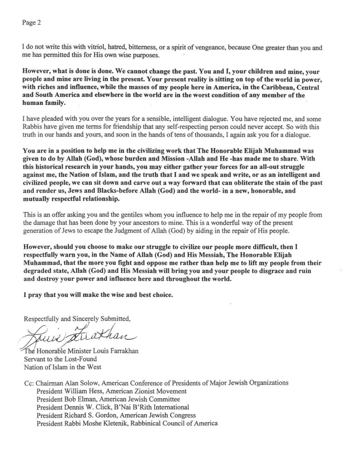I do not write this with vitriol, hatred, bitterness, or a spirit of vengeance, because One greater than you and me has permitted this for His own wise purposes.

However, what is done is done. We cannot change the past. You and I, your children and mine, your people and mine are living in the present. Your present reality is sitting on top of the world in power, with riches and influence, while the masses of my people here in America, in the Caribbean, Central and South America and elsewhere in the world are in the worst condition of any member of the human family.

I have pleaded with you over the years for a sensible, intelligent dialogue. You have rejected me, and some Rabbis have given me terms for friendship that any self-respecting person could never accept. So with this truth in our hands and yours, and soon in the hands of tens of thousands, I again ask you for a dialogue.

You are in a position to help me in the civilizing work that The Honorable Elijah Muhammad was given to do by Allab (God), wbose burden and Mission -Allab and He -bas made me to share. With this historical research in your hands, you may either gather your forces for an all-out struggle against me, tbe Nation of Islam, and tbe truth tbat I and we speak and write, or as an intelligent and civilized people, we can sit down and carve out a way forward that can obliterate the stain of the past and render us, Jews and Blacks-before Allah (God) and the world- in a new, honorable, and mutually respectful relationship.

This is an offer asking you and the gentiles whom you influence to help me in the repair of my people from the damage that has been done by your ancestors to mine. This is a wonderful way of the present generation of Jews to escape the Judgment of Allah (God) by aiding in the repair of His people.

However, sbould you choose to make our struggle to civilize our people more difficult, then I respectfully warn you, in the Name of Allah (God) and His Messiah, Tbe Honorable Elijah Muhammad, tbat tbe more you fight and oppose me rather than belp me to lift my people from their degraded state, Allah (God) and His Messiab will bring you and your people to disgrace and ruin and destroy your power and influence here and throughout the world.

I pray tbat you will make the wise and best choice.

Respectfully and Sincerely Submitted,

The Honorable Minister Louis Farrakhan<br>Servant to the Lost-Found Nation of Islam in the West

Cc: Chairman Alan Solow, American Conference of Presidents of Major Jewish Organizations President William Hess, American Zionist Movement President Bob Elman, American Jewish Committee President Dennis W. Click, B'Nai B'Rith International President Richard S. Gordon, American Jewish Congress President Rabbi Moshe Kletenik. Rabbinical Council of America